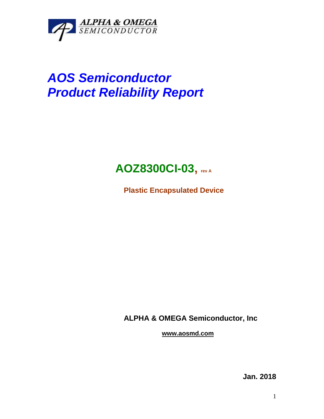

# *AOS Semiconductor Product Reliability Report*

# **AOZ8300CI-03, rev <sup>A</sup>**

**Plastic Encapsulated Device**

**ALPHA & OMEGA Semiconductor, Inc**

**www.aosmd.com**

**Jan. 2018**